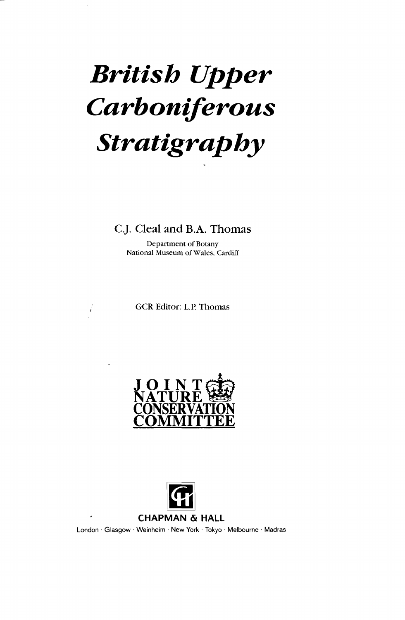# *British Upper Carboniferous Stratigraphy*

## C.J. Cleal and B.A. Thomas

Department of Botany National Museum of Wales, Cardiff

GCR Editor: L.P. Thomas





London • Glasgow • Weinheim • New York • Tokyo • Melbourne • Madras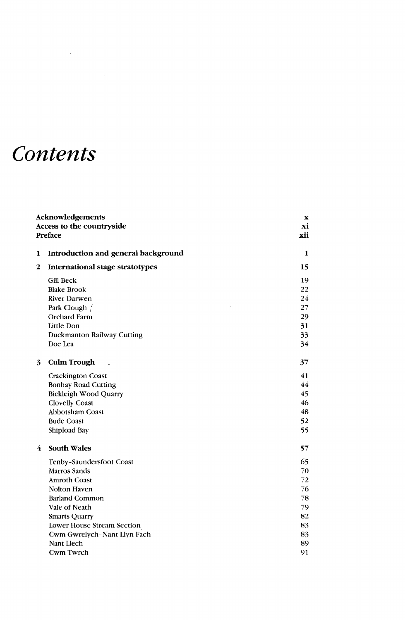# *Contents*

| Access to the countryside<br>Preface<br>Introduction and general background<br>1<br>$\overline{2}$<br><b>International stage stratotypes</b><br><b>Gill Beck</b><br><b>Blake Brook</b><br><b>River Darwen</b><br>Park Clough<br>Orchard Farm<br>Little Don<br>Duckmanton Railway Cutting<br>Doe Lea<br><b>Culm Trough</b><br>3<br><b>Crackington Coast</b><br><b>Bonhay Road Cutting</b><br><b>Bickleigh Wood Quarry</b><br><b>Clovelly Coast</b><br><b>Abbotsham Coast</b><br><b>Bude Coast</b><br>Shipload Bay<br><b>South Wales</b><br>4<br>Tenby-Saundersfoot Coast<br><b>Marros Sands</b><br><b>Amroth Coast</b><br>Nolton Haven<br><b>Barland Common</b><br>Vale of Neath<br><b>Smarts Quarry</b><br>Lower House Stream Section<br>Cwm Gwrelych-Nant Llyn Fach<br>Nant Llech<br>Cwm Twrch | x   |
|-------------------------------------------------------------------------------------------------------------------------------------------------------------------------------------------------------------------------------------------------------------------------------------------------------------------------------------------------------------------------------------------------------------------------------------------------------------------------------------------------------------------------------------------------------------------------------------------------------------------------------------------------------------------------------------------------------------------------------------------------------------------------------------------------|-----|
|                                                                                                                                                                                                                                                                                                                                                                                                                                                                                                                                                                                                                                                                                                                                                                                                 | хi  |
|                                                                                                                                                                                                                                                                                                                                                                                                                                                                                                                                                                                                                                                                                                                                                                                                 | xii |
|                                                                                                                                                                                                                                                                                                                                                                                                                                                                                                                                                                                                                                                                                                                                                                                                 |     |
|                                                                                                                                                                                                                                                                                                                                                                                                                                                                                                                                                                                                                                                                                                                                                                                                 | 1   |
|                                                                                                                                                                                                                                                                                                                                                                                                                                                                                                                                                                                                                                                                                                                                                                                                 | 15  |
|                                                                                                                                                                                                                                                                                                                                                                                                                                                                                                                                                                                                                                                                                                                                                                                                 | 19  |
|                                                                                                                                                                                                                                                                                                                                                                                                                                                                                                                                                                                                                                                                                                                                                                                                 | 22  |
|                                                                                                                                                                                                                                                                                                                                                                                                                                                                                                                                                                                                                                                                                                                                                                                                 | 24  |
|                                                                                                                                                                                                                                                                                                                                                                                                                                                                                                                                                                                                                                                                                                                                                                                                 | 27  |
|                                                                                                                                                                                                                                                                                                                                                                                                                                                                                                                                                                                                                                                                                                                                                                                                 | 29  |
|                                                                                                                                                                                                                                                                                                                                                                                                                                                                                                                                                                                                                                                                                                                                                                                                 | 31  |
|                                                                                                                                                                                                                                                                                                                                                                                                                                                                                                                                                                                                                                                                                                                                                                                                 | 33  |
|                                                                                                                                                                                                                                                                                                                                                                                                                                                                                                                                                                                                                                                                                                                                                                                                 | 34  |
|                                                                                                                                                                                                                                                                                                                                                                                                                                                                                                                                                                                                                                                                                                                                                                                                 | 37  |
|                                                                                                                                                                                                                                                                                                                                                                                                                                                                                                                                                                                                                                                                                                                                                                                                 |     |
|                                                                                                                                                                                                                                                                                                                                                                                                                                                                                                                                                                                                                                                                                                                                                                                                 | 41  |
|                                                                                                                                                                                                                                                                                                                                                                                                                                                                                                                                                                                                                                                                                                                                                                                                 | 44  |
|                                                                                                                                                                                                                                                                                                                                                                                                                                                                                                                                                                                                                                                                                                                                                                                                 | 45  |
|                                                                                                                                                                                                                                                                                                                                                                                                                                                                                                                                                                                                                                                                                                                                                                                                 | 46  |
|                                                                                                                                                                                                                                                                                                                                                                                                                                                                                                                                                                                                                                                                                                                                                                                                 | 48  |
|                                                                                                                                                                                                                                                                                                                                                                                                                                                                                                                                                                                                                                                                                                                                                                                                 | 52  |
|                                                                                                                                                                                                                                                                                                                                                                                                                                                                                                                                                                                                                                                                                                                                                                                                 | 55  |
|                                                                                                                                                                                                                                                                                                                                                                                                                                                                                                                                                                                                                                                                                                                                                                                                 | 57  |
|                                                                                                                                                                                                                                                                                                                                                                                                                                                                                                                                                                                                                                                                                                                                                                                                 | 65  |
|                                                                                                                                                                                                                                                                                                                                                                                                                                                                                                                                                                                                                                                                                                                                                                                                 | 70  |
|                                                                                                                                                                                                                                                                                                                                                                                                                                                                                                                                                                                                                                                                                                                                                                                                 | 72  |
|                                                                                                                                                                                                                                                                                                                                                                                                                                                                                                                                                                                                                                                                                                                                                                                                 | 76  |
|                                                                                                                                                                                                                                                                                                                                                                                                                                                                                                                                                                                                                                                                                                                                                                                                 | 78  |
|                                                                                                                                                                                                                                                                                                                                                                                                                                                                                                                                                                                                                                                                                                                                                                                                 | 79  |
|                                                                                                                                                                                                                                                                                                                                                                                                                                                                                                                                                                                                                                                                                                                                                                                                 | 82  |
|                                                                                                                                                                                                                                                                                                                                                                                                                                                                                                                                                                                                                                                                                                                                                                                                 | 83  |
|                                                                                                                                                                                                                                                                                                                                                                                                                                                                                                                                                                                                                                                                                                                                                                                                 | 83  |
|                                                                                                                                                                                                                                                                                                                                                                                                                                                                                                                                                                                                                                                                                                                                                                                                 | 89  |
|                                                                                                                                                                                                                                                                                                                                                                                                                                                                                                                                                                                                                                                                                                                                                                                                 | 91  |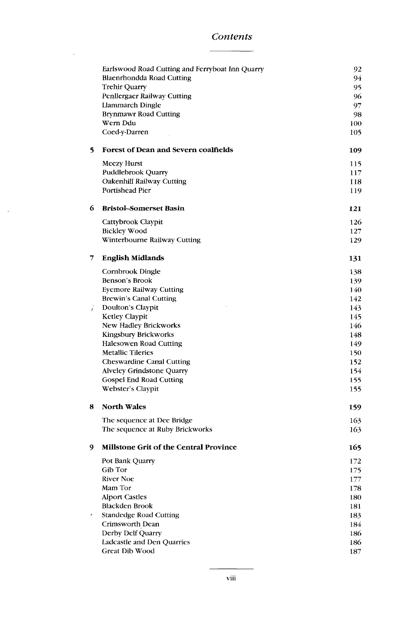#### *Contents*

 $\sim$   $\sim$ 

 $\sim 10^{-1}$ 

|   | Earlswood Road Cutting and Ferryboat Inn Quarry | 92  |
|---|-------------------------------------------------|-----|
|   | Blaenrhondda Road Cutting                       | 94  |
|   | <b>Trehir Quarry</b>                            | 95  |
|   | <b>Penllergaer Railway Cutting</b>              | 96  |
|   | <b>Llammarch Dingle</b>                         | 97  |
|   | <b>Brynmawr Road Cutting</b>                    | 98  |
|   | Wern Ddu                                        | 100 |
|   | Coed-y-Darren                                   | 105 |
| 5 | Forest of Dean and Severn coalfields            | 109 |
|   | <b>Meezy Hurst</b>                              | 115 |
|   | Puddlebrook Quarry                              | 117 |
|   | Oakenhill Railway Cutting                       | 118 |
|   | <b>Portishead Pier</b>                          | 119 |
| 6 | <b>Bristol-Somerset Basin</b>                   | 121 |
|   | Cattybrook Claypit                              | 126 |
|   | <b>Bickley Wood</b>                             | 127 |
|   | Winterbourne Railway Cutting                    | 129 |
| 7 | <b>English Midlands</b>                         | 131 |
|   | Cornbrook Dingle                                | 138 |
|   | Benson's Brook                                  | 139 |
|   | <b>Eyemore Railway Cutting</b>                  | 140 |
|   | <b>Brewin's Canal Cutting</b>                   | 142 |
| L | Doulton's Claypit                               | 143 |
|   | Ketley Claypit                                  | 145 |
|   | New Hadley Brickworks                           | 146 |
|   | <b>Kingsbury Brickworks</b>                     | 148 |
|   | Halesowen Road Cutting                          | 149 |
|   | <b>Metallic Tileries</b>                        | 150 |
|   | <b>Cheswardine Canal Cutting</b>                | 152 |
|   | <b>Alveley Grindstone Quarry</b>                | 154 |
|   | Gospel End Road Cutting                         | 155 |
|   | Webster's Claypit                               | 155 |
| 8 | <b>North Wales</b>                              | 159 |
|   | The sequence at Dee Bridge                      | 163 |
|   | The sequence at Ruby Brickworks                 | 163 |
| 9 | <b>Millstone Grit of the Central Province</b>   | 165 |
|   | Pot Bank Quarry                                 | 172 |
|   | Gib Tor                                         | 175 |
|   | <b>River Noe</b>                                | 177 |
|   | Mam Tor                                         | 178 |
|   | <b>Alport Castles</b>                           | 180 |
|   | <b>Blackden Brook</b>                           | 181 |
| ø | <b>Standedge Road Cutting</b>                   | 183 |
|   | Crimsworth Dean                                 | 184 |
|   | Derby Delf Quarry                               | 186 |
|   | Ladcastle and Den Quarries                      | 186 |
|   | Great Dib Wood                                  | 187 |